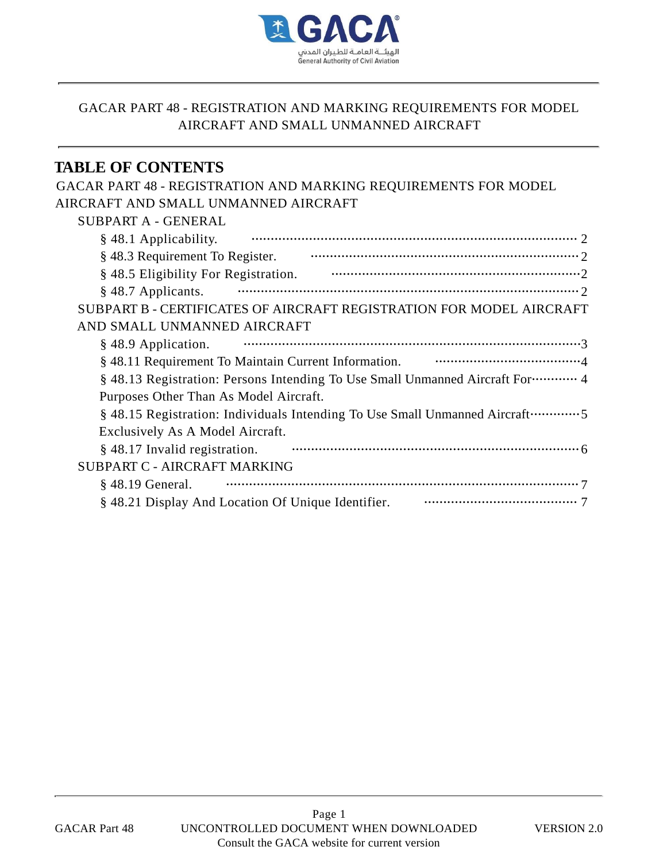

# **TABLE OF CONTENTS**

| GACAR PART 48 - REGISTRATION AND MARKING REQUIREMENTS FOR MODEL                                                                                                                                                                |
|--------------------------------------------------------------------------------------------------------------------------------------------------------------------------------------------------------------------------------|
| AIRCRAFT AND SMALL UNMANNED AIRCRAFT                                                                                                                                                                                           |
| SUBPART A - GENERAL                                                                                                                                                                                                            |
| § 48.1 Applicability.                                                                                                                                                                                                          |
|                                                                                                                                                                                                                                |
| § 48.5 Eligibility For Registration. 2008. Communication of the state of the state of the state of the state of the state of the state of the state of the state of the state of the state of the state of the state of the st |
| § 48.7 Applicants.                                                                                                                                                                                                             |
| SUBPART B - CERTIFICATES OF AIRCRAFT REGISTRATION FOR MODEL AIRCRAFT                                                                                                                                                           |
| AND SMALL UNMANNED AIRCRAFT                                                                                                                                                                                                    |
| § 48.9 Application.                                                                                                                                                                                                            |
| § 48.11 Requirement To Maintain Current Information. ••••••••••••••••••••••••••••••••••4                                                                                                                                       |
| § 48.13 Registration: Persons Intending To Use Small Unmanned Aircraft For………… 4                                                                                                                                               |
| Purposes Other Than As Model Aircraft.                                                                                                                                                                                         |
| § 48.15 Registration: Individuals Intending To Use Small Unmanned Aircraft…………5                                                                                                                                                |
| Exclusively As A Model Aircraft.                                                                                                                                                                                               |
| § 48.17 Invalid registration.                                                                                                                                                                                                  |
| <b>SUBPART C - AIRCRAFT MARKING</b>                                                                                                                                                                                            |
| $§$ 48.19 General.                                                                                                                                                                                                             |
|                                                                                                                                                                                                                                |
|                                                                                                                                                                                                                                |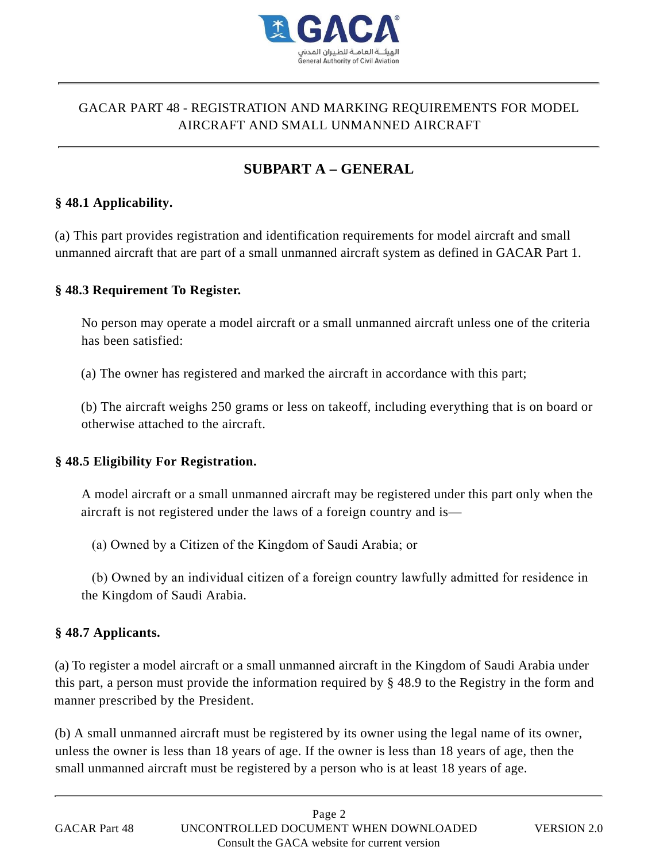

# **SUBPART A – GENERAL**

#### **§ 48.1 Applicability.**

(a) This part provides registration and identification requirements for model aircraft and small unmanned aircraft that are part of a small unmanned aircraft system as defined in GACAR Part 1.

#### **§ 48.3 Requirement To Register.**

No person may operate a model aircraft or a small unmanned aircraft unless one of the criteria has been satisfied:

(a) The owner has registered and marked the aircraft in accordance with this part;

(b) The aircraft weighs 250 grams or less on takeoff, including everything that is on board or otherwise attached to the aircraft.

#### **§ 48.5 Eligibility For Registration.**

A model aircraft or a small unmanned aircraft may be registered under this part only when the aircraft is not registered under the laws of a foreign country and is—

(a) Owned by a Citizen of the Kingdom of Saudi Arabia; or

 (b) Owned by an individual citizen of a foreign country lawfully admitted for residence in the Kingdom of Saudi Arabia.

#### **§ 48.7 Applicants.**

(a) To register a model aircraft or a small unmanned aircraft in the Kingdom of Saudi Arabia under this part, a person must provide the information required by § 48.9 to the Registry in the form and manner prescribed by the President.

(b) A small unmanned aircraft must be registered by its owner using the legal name of its owner, unless the owner is less than 18 years of age. If the owner is less than 18 years of age, then the small unmanned aircraft must be registered by a person who is at least 18 years of age.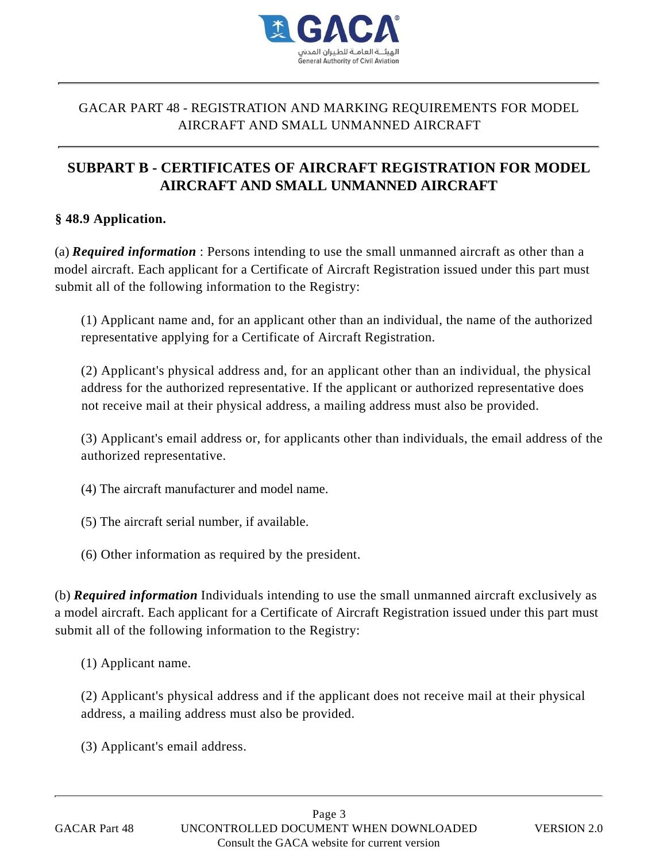

# AIRCRAFT AND SMALL UNMANNED AIRCRAFT

# **SUBPART B - CERTIFICATES OF AIRCRAFT REGISTRATION FOR MODEL AIRCRAFT AND SMALL UNMANNED AIRCRAFT**

#### **§ 48.9 Application.**

(a) *Required information* : Persons intending to use the small unmanned aircraft as other than a model aircraft. Each applicant for a Certificate of Aircraft Registration issued under this part must submit all of the following information to the Registry: (3) ACAR PART 48 - REGISTRATION AND MARKING REQUIREMENTS FOR MODEL<br> **AIRCRAFT AND SMALL UNMANNED AIRCRAFT**<br> **AIRCRAFT AND SMALL UNMANNED AIRCRAFT**<br> **DIBPART B - CERTIFICATES OF AIRCRAFT REGISTRATION FOR MODE**<br> **AIRCRAFT AN** 

(1) Applicant name and, for an applicant other than an individual, the name of the authorized representative applying for a Certificate of Aircraft Registration.

(2) Applicant's physical address and, for an applicant other than an individual, the physical address for the authorized representative. If the applicant or authorized representative does not receive mail at their physical address, a mailing address must also be provided.

(3) Applicant's email address or, for applicants other than individuals, the email address of the authorized representative.

- (4) The aircraft manufacturer and model name.
- (5) The aircraft serial number, if available.
- (6) Other information as required by the president.

(b) *Required information* Individuals intending to use the small unmanned aircraft exclusively as a model aircraft. Each applicant for a Certificate of Aircraft Registration issued under this part must submit all of the following information to the Registry:

(1) Applicant name.

(2) Applicant's physical address and if the applicant does not receive mail at their physical address, a mailing address must also be provided.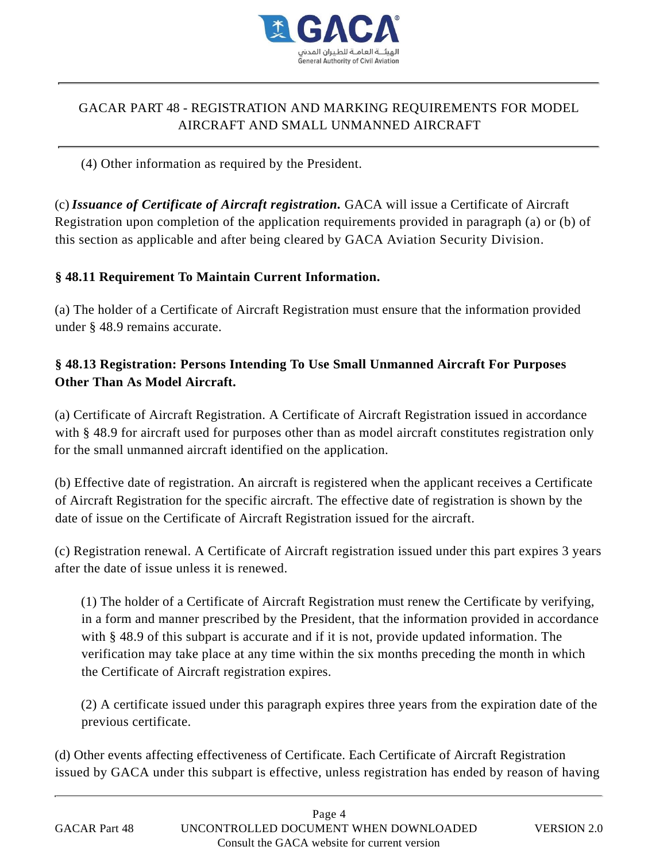

(4) Other information as required by the President.

(c) *Issuance of Certificate of Aircraft registration.* GACA will issue a Certificate of Aircraft Registration upon completion of the application requirements provided in paragraph (a) or (b) of this section as applicable and after being cleared by GACA Aviation Security Division.

#### **§ 48.11 Requirement To Maintain Current Information.**

(a) The holder of a Certificate of Aircraft Registration must ensure that the information provided under § 48.9 remains accurate.

### **§ 48.13 Registration: Persons Intending To Use Small Unmanned Aircraft For Purposes Other Than As Model Aircraft.**

(a) Certificate of Aircraft Registration. A Certificate of Aircraft Registration issued in accordance with § 48.9 for aircraft used for purposes other than as model aircraft constitutes registration only for the small unmanned aircraft identified on the application.

(b) Effective date of registration. An aircraft is registered when the applicant receives a Certificate of Aircraft Registration for the specific aircraft. The effective date of registration is shown by the date of issue on the Certificate of Aircraft Registration issued for the aircraft.

(c) Registration renewal. A Certificate of Aircraft registration issued under this part expires 3 years after the date of issue unless it is renewed.

(1) The holder of a Certificate of Aircraft Registration must renew the Certificate by verifying, in a form and manner prescribed by the President, that the information provided in accordance with § 48.9 of this subpart is accurate and if it is not, provide updated information. The verification may take place at any time within the six months preceding the month in which the Certificate of Aircraft registration expires.

(2) A certificate issued under this paragraph expires three years from the expiration date of the previous certificate.

(d) Other events affecting effectiveness of Certificate. Each Certificate of Aircraft Registration issued by GACA under this subpart is effective, unless registration has ended by reason of having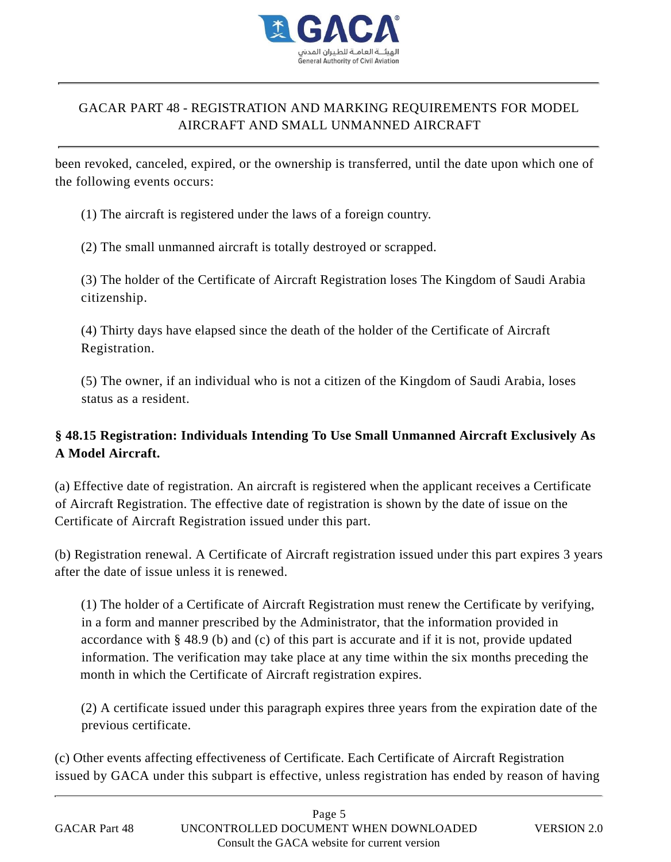

been revoked, canceled, expired, or the ownership is transferred, until the date upon which one of the following events occurs:

(1) The aircraft is registered under the laws of a foreign country.

(2) The small unmanned aircraft is totally destroyed or scrapped.

(3) The holder of the Certificate of Aircraft Registration loses The Kingdom of Saudi Arabia citizenship.

(4) Thirty days have elapsed since the death of the holder of the Certificate of Aircraft Registration.

(5) The owner, if an individual who is not a citizen of the Kingdom of Saudi Arabia, loses status as a resident.

## **§ 48.15 Registration: Individuals Intending To Use Small Unmanned Aircraft Exclusively As A Model Aircraft.**

(a) Effective date of registration. An aircraft is registered when the applicant receives a Certificate of Aircraft Registration. The effective date of registration is shown by the date of issue on the Certificate of Aircraft Registration issued under this part.

(b) Registration renewal. A Certificate of Aircraft registration issued under this part expires 3 years after the date of issue unless it is renewed.

(1) The holder of a Certificate of Aircraft Registration must renew the Certificate by verifying, in a form and manner prescribed by the Administrator, that the information provided in accordance with § 48.9 (b) and (c) of this part is accurate and if it is not, provide updated information. The verification may take place at any time within the six months preceding the month in which the Certificate of Aircraft registration expires.

(2) A certificate issued under this paragraph expires three years from the expiration date of the previous certificate.

(c) Other events affecting effectiveness of Certificate. Each Certificate of Aircraft Registration issued by GACA under this subpart is effective, unless registration has ended by reason of having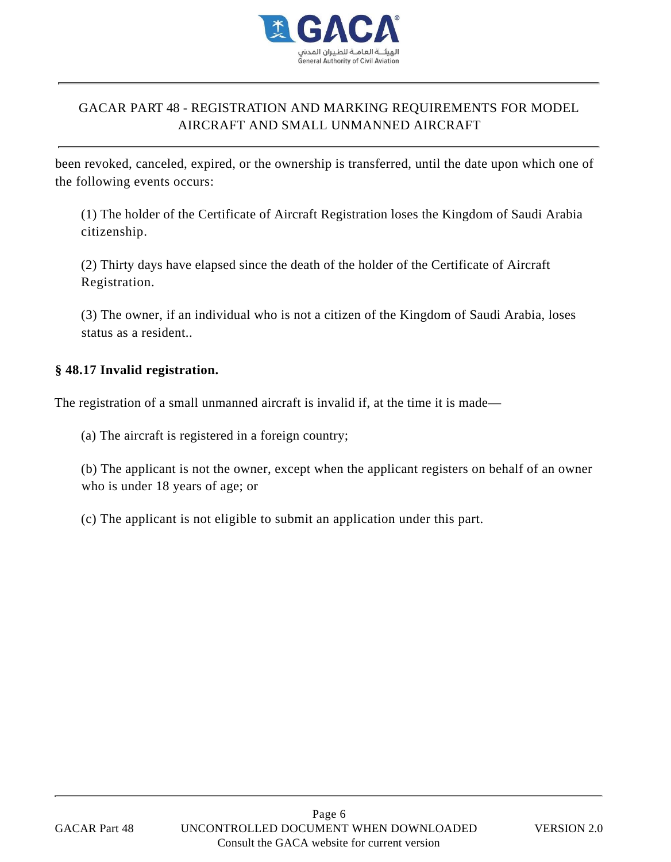

been revoked, canceled, expired, or the ownership is transferred, until the date upon which one of the following events occurs:

(1) The holder of the Certificate of Aircraft Registration loses the Kingdom of Saudi Arabia citizenship.

(2) Thirty days have elapsed since the death of the holder of the Certificate of Aircraft Registration.

(3) The owner, if an individual who is not a citizen of the Kingdom of Saudi Arabia, loses status as a resident..

#### **§ 48.17 Invalid registration.**

The registration of a small unmanned aircraft is invalid if, at the time it is made—

(a) The aircraft is registered in a foreign country;

(b) The applicant is not the owner, except when the applicant registers on behalf of an owner who is under 18 years of age; or

(c) The applicant is not eligible to submit an application under this part.